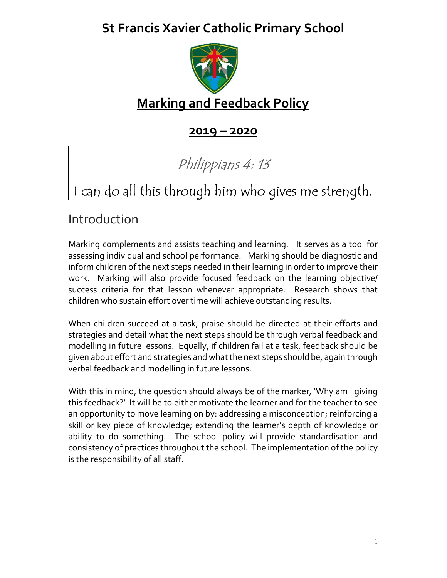# St Francis Xavier Catholic Primary School



# Marking and Feedback Policy

2019 – 2020

# Philippians 4: 13

# I can do all this through him who gives me strength.

### **Introduction**

Marking complements and assists teaching and learning. It serves as a tool for assessing individual and school performance. Marking should be diagnostic and inform children of the next steps needed in their learning in order to improve their work. Marking will also provide focused feedback on the learning objective/ success criteria for that lesson whenever appropriate. Research shows that children who sustain effort over time will achieve outstanding results.

When children succeed at a task, praise should be directed at their efforts and strategies and detail what the next steps should be through verbal feedback and modelling in future lessons. Equally, if children fail at a task, feedback should be given about effort and strategies and what the next steps should be, again through verbal feedback and modelling in future lessons.

With this in mind, the question should always be of the marker, 'Why am I giving this feedback?' It will be to either motivate the learner and for the teacher to see an opportunity to move learning on by: addressing a misconception; reinforcing a skill or key piece of knowledge; extending the learner's depth of knowledge or ability to do something. The school policy will provide standardisation and consistency of practices throughout the school. The implementation of the policy is the responsibility of all staff.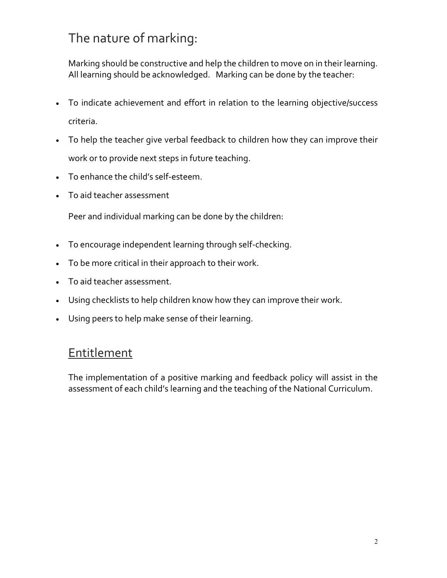# The nature of marking:

Marking should be constructive and help the children to move on in their learning. All learning should be acknowledged. Marking can be done by the teacher:

- To indicate achievement and effort in relation to the learning objective/success criteria.
- To help the teacher give verbal feedback to children how they can improve their work or to provide next steps in future teaching.
- To enhance the child's self-esteem.
- To aid teacher assessment

Peer and individual marking can be done by the children:

- To encourage independent learning through self-checking.
- To be more critical in their approach to their work.
- To aid teacher assessment.
- Using checklists to help children know how they can improve their work.
- Using peers to help make sense of their learning.

#### **Entitlement**

The implementation of a positive marking and feedback policy will assist in the assessment of each child's learning and the teaching of the National Curriculum.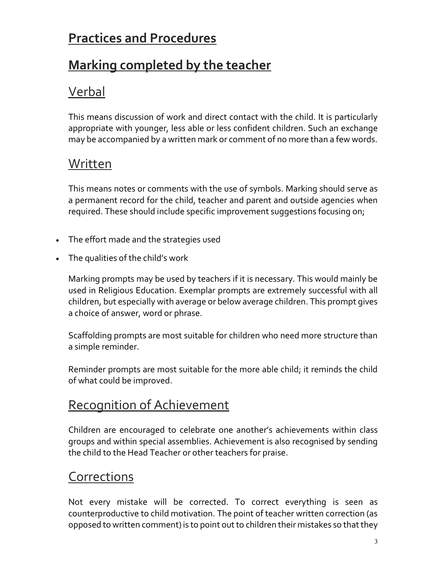# Practices and Procedures

# Marking completed by the teacher

# Verbal

This means discussion of work and direct contact with the child. It is particularly appropriate with younger, less able or less confident children. Such an exchange may be accompanied by a written mark or comment of no more than a few words.

### Written

This means notes or comments with the use of symbols. Marking should serve as a permanent record for the child, teacher and parent and outside agencies when required. These should include specific improvement suggestions focusing on;

- The effort made and the strategies used
- The qualities of the child's work

Marking prompts may be used by teachers if it is necessary. This would mainly be used in Religious Education. Exemplar prompts are extremely successful with all children, but especially with average or below average children. This prompt gives a choice of answer, word or phrase.

Scaffolding prompts are most suitable for children who need more structure than a simple reminder.

Reminder prompts are most suitable for the more able child; it reminds the child of what could be improved.

## Recognition of Achievement

Children are encouraged to celebrate one another's achievements within class groups and within special assemblies. Achievement is also recognised by sending the child to the Head Teacher or other teachers for praise.

#### **Corrections**

Not every mistake will be corrected. To correct everything is seen as counterproductive to child motivation. The point of teacher written correction (as opposed to written comment) is to point out to children their mistakes so that they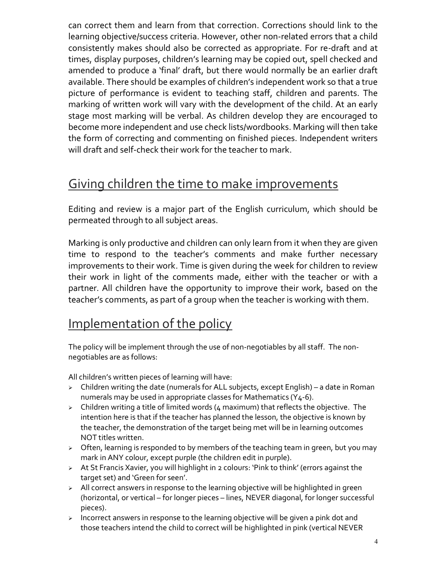can correct them and learn from that correction. Corrections should link to the learning objective/success criteria. However, other non-related errors that a child consistently makes should also be corrected as appropriate. For re-draft and at times, display purposes, children's learning may be copied out, spell checked and amended to produce a 'final' draft, but there would normally be an earlier draft available. There should be examples of children's independent work so that a true picture of performance is evident to teaching staff, children and parents. The marking of written work will vary with the development of the child. At an early stage most marking will be verbal. As children develop they are encouraged to become more independent and use check lists/wordbooks. Marking will then take the form of correcting and commenting on finished pieces. Independent writers will draft and self-check their work for the teacher to mark.

### Giving children the time to make improvements

Editing and review is a major part of the English curriculum, which should be permeated through to all subject areas.

Marking is only productive and children can only learn from it when they are given time to respond to the teacher's comments and make further necessary improvements to their work. Time is given during the week for children to review their work in light of the comments made, either with the teacher or with a partner. All children have the opportunity to improve their work, based on the teacher's comments, as part of a group when the teacher is working with them.

## Implementation of the policy

The policy will be implement through the use of non-negotiables by all staff. The nonnegotiables are as follows:

All children's written pieces of learning will have:

- $\triangleright$  Children writing the date (numerals for ALL subjects, except English) a date in Roman numerals may be used in appropriate classes for Mathematics (Y4-6).
- $\triangleright$  Children writing a title of limited words (4 maximum) that reflects the objective. The intention here is that if the teacher has planned the lesson, the objective is known by the teacher, the demonstration of the target being met will be in learning outcomes NOT titles written.
- $\triangleright$  Often, learning is responded to by members of the teaching team in green, but you may mark in ANY colour, except purple (the children edit in purple).
- At St Francis Xavier, you will highlight in 2 colours: 'Pink to think' (errors against the target set) and 'Green for seen'.
- > All correct answers in response to the learning objective will be highlighted in green (horizontal, or vertical – for longer pieces – lines, NEVER diagonal, for longer successful pieces).
- $\triangleright$  Incorrect answers in response to the learning objective will be given a pink dot and those teachers intend the child to correct will be highlighted in pink (vertical NEVER